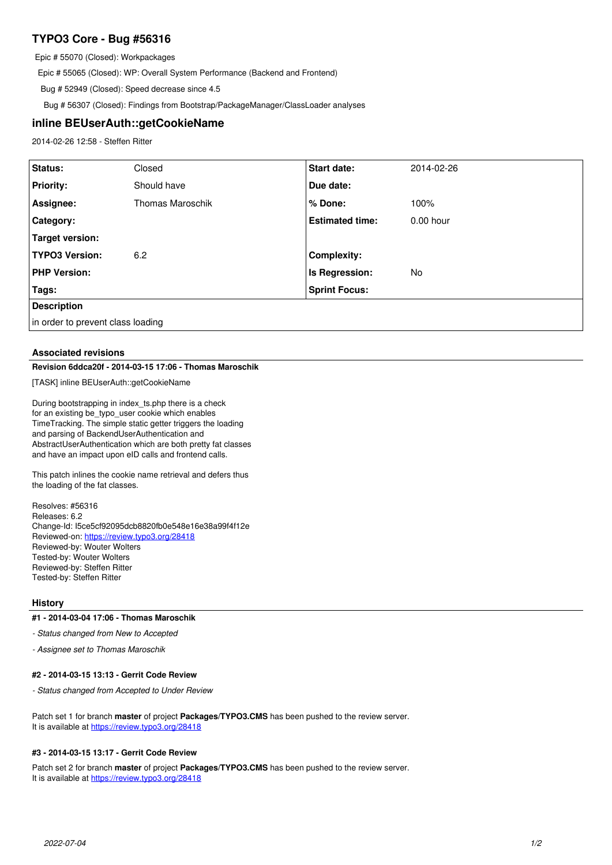# **TYPO3 Core - Bug #56316**

Epic # 55070 (Closed): Workpackages

Epic # 55065 (Closed): WP: Overall System Performance (Backend and Frontend)

Bug # 52949 (Closed): Speed decrease since 4.5

Bug # 56307 (Closed): Findings from Bootstrap/PackageManager/ClassLoader analyses

### **inline BEUserAuth::getCookieName**

2014-02-26 12:58 - Steffen Ritter

| Status:                           | Closed                  | <b>Start date:</b>     | 2014-02-26  |
|-----------------------------------|-------------------------|------------------------|-------------|
| <b>Priority:</b>                  | Should have             | Due date:              |             |
| Assignee:                         | <b>Thomas Maroschik</b> | % Done:                | 100%        |
| <b>Category:</b>                  |                         | <b>Estimated time:</b> | $0.00$ hour |
| Target version:                   |                         |                        |             |
| <b>TYPO3 Version:</b>             | 6.2                     | <b>Complexity:</b>     |             |
| <b>PHP Version:</b>               |                         | Is Regression:         | No          |
| Tags:                             |                         | <b>Sprint Focus:</b>   |             |
| <b>Description</b>                |                         |                        |             |
| in order to prevent class loading |                         |                        |             |

### **Associated revisions**

### **Revision 6ddca20f - 2014-03-15 17:06 - Thomas Maroschik**

[TASK] inline BEUserAuth::getCookieName

During bootstrapping in index\_ts.php there is a check for an existing be\_typo\_user cookie which enables TimeTracking. The simple static getter triggers the loading and parsing of BackendUserAuthentication and AbstractUserAuthentication which are both pretty fat classes and have an impact upon eID calls and frontend calls.

This patch inlines the cookie name retrieval and defers thus the loading of the fat classes.

Resolves: #56316 Releases: 6.2 Change-Id: I5ce5cf92095dcb8820fb0e548e16e38a99f4f12e Reviewed-on:<https://review.typo3.org/28418> Reviewed-by: Wouter Wolters Tested-by: Wouter Wolters Reviewed-by: Steffen Ritter Tested-by: Steffen Ritter

#### **History**

#### **#1 - 2014-03-04 17:06 - Thomas Maroschik**

*- Status changed from New to Accepted*

*- Assignee set to Thomas Maroschik*

#### **#2 - 2014-03-15 13:13 - Gerrit Code Review**

*- Status changed from Accepted to Under Review*

Patch set 1 for branch **master** of project **Packages/TYPO3.CMS** has been pushed to the review server. It is available at <https://review.typo3.org/28418>

#### **#3 - 2014-03-15 13:17 - Gerrit Code Review**

Patch set 2 for branch **master** of project **Packages/TYPO3.CMS** has been pushed to the review server. It is available at <https://review.typo3.org/28418>